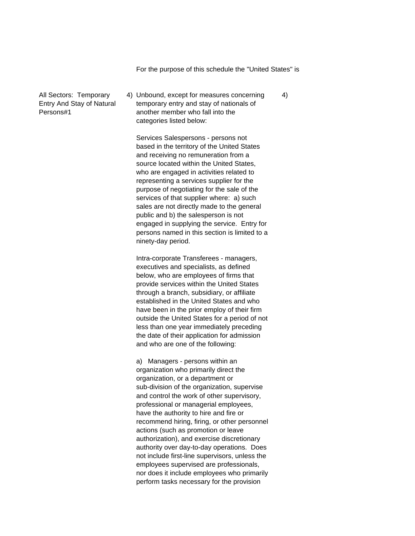For the purpose of this schedule the "United States" is

All Sectors: Temporary 4) Unbound, except for measures concerning 4) Entry And Stay of Natural temporary entry and stay of nationals of Persons#1 another member who fall into the categories listed below:

> Services Salespersons - persons not based in the territory of the United States and receiving no remuneration from a source located within the United States, who are engaged in activities related to representing a services supplier for the purpose of negotiating for the sale of the services of that supplier where: a) such sales are not directly made to the general public and b) the salesperson is not engaged in supplying the service. Entry for persons named in this section is limited to a ninety-day period.

> Intra-corporate Transferees - managers, executives and specialists, as defined below, who are employees of firms that provide services within the United States through a branch, subsidiary, or affiliate established in the United States and who have been in the prior employ of their firm outside the United States for a period of not less than one year immediately preceding the date of their application for admission and who are one of the following:

> a) Managers - persons within an organization who primarily direct the organization, or a department or sub-division of the organization, supervise and control the work of other supervisory, professional or managerial employees, have the authority to hire and fire or recommend hiring, firing, or other personnel actions (such as promotion or leave authorization), and exercise discretionary authority over day-to-day operations. Does not include first-line supervisors, unless the employees supervised are professionals, nor does it include employees who primarily perform tasks necessary for the provision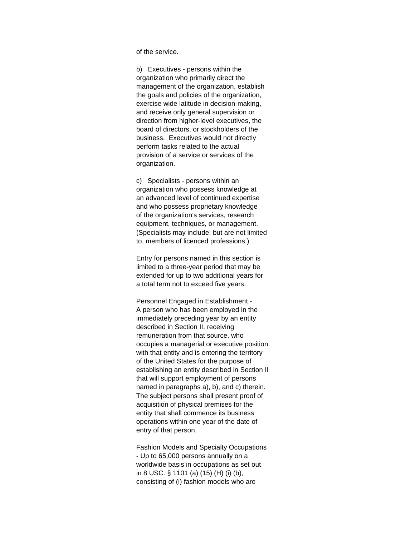of the service.

b) Executives - persons within the organization who primarily direct the management of the organization, establish the goals and policies of the organization, exercise wide latitude in decision-making, and receive only general supervision or direction from higher-level executives, the board of directors, or stockholders of the business. Executives would not directly perform tasks related to the actual provision of a service or services of the organization.

c) Specialists - persons within an organization who possess knowledge at an advanced level of continued expertise and who possess proprietary knowledge of the organization's services, research equipment, techniques, or management. (Specialists may include, but are not limited to, members of licenced professions.)

Entry for persons named in this section is limited to a three-year period that may be extended for up to two additional years for a total term not to exceed five years.

Personnel Engaged in Establishment - A person who has been employed in the immediately preceding year by an entity described in Section II, receiving remuneration from that source, who occupies a managerial or executive position with that entity and is entering the territory of the United States for the purpose of establishing an entity described in Section II that will support employment of persons named in paragraphs a), b), and c) therein. The subject persons shall present proof of acquisition of physical premises for the entity that shall commence its business operations within one year of the date of entry of that person.

Fashion Models and Specialty Occupations - Up to 65,000 persons annually on a worldwide basis in occupations as set out in 8 USC. § 1101 (a) (15) (H) (i) (b), consisting of (i) fashion models who are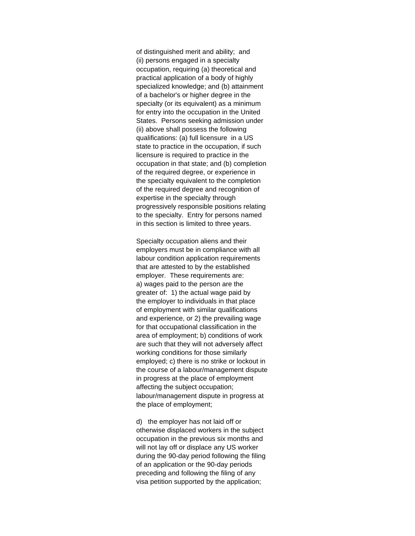of distinguished merit and ability; and (ii) persons engaged in a specialty occupation, requiring (a) theoretical and practical application of a body of highly specialized knowledge; and (b) attainment of a bachelor's or higher degree in the specialty (or its equivalent) as a minimum for entry into the occupation in the United States. Persons seeking admission under (ii) above shall possess the following qualifications: (a) full licensure in a US state to practice in the occupation, if such licensure is required to practice in the occupation in that state; and (b) completion of the required degree, or experience in the specialty equivalent to the completion of the required degree and recognition of expertise in the specialty through progressively responsible positions relating to the specialty. Entry for persons named in this section is limited to three years.

Specialty occupation aliens and their employers must be in compliance with all labour condition application requirements that are attested to by the established employer. These requirements are: a) wages paid to the person are the greater of: 1) the actual wage paid by the employer to individuals in that place of employment with similar qualifications and experience, or 2) the prevailing wage for that occupational classification in the area of employment; b) conditions of work are such that they will not adversely affect working conditions for those similarly employed; c) there is no strike or lockout in the course of a labour/management dispute in progress at the place of employment affecting the subject occupation; labour/management dispute in progress at the place of employment;

d) the employer has not laid off or otherwise displaced workers in the subject occupation in the previous six months and will not lay off or displace any US worker during the 90-day period following the filing of an application or the 90-day periods preceding and following the filing of any visa petition supported by the application;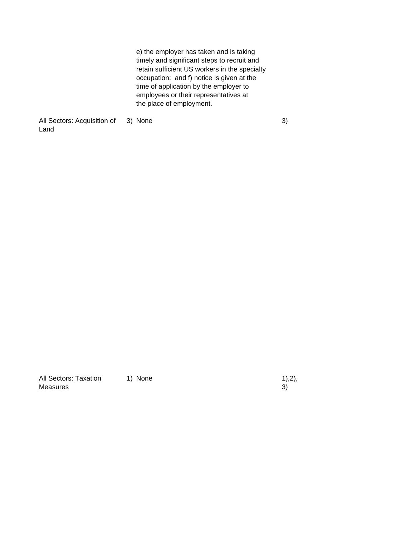e) the employer has taken and is taking timely and significant steps to recruit and retain sufficient US workers in the specialty occupation; and f) notice is given at the time of application by the employer to employees or their representatives at the place of employment.

All Sectors: Acquisition of 3) None 30 and 30 and 30 and 30 and 30 and 30 and 30 and 30 and 30 and 30 and 30 and 30 and 30 and 30 and 30 and 30 and 30 and 30 and 30 and 30 and 30 and 30 and 30 and 30 and 30 and 30 and 30 a Land

All Sectors: Taxation 1) None 1, 1, 2, 1, 2, 1, 1, 2, 1, 1, 2, 1, 1, 2, 1, 1, 2, 1, 2, 1, 2, 1, 2, 1, 2, 1, 2, 1, 2, 1, 2, 1, 2, 1, 2, 1, 2, 1, 2, 1, 2, 1, 2, 1, 2, 1, 2, 1, 2, 1, 2, 1, 2, 1, 2, 1, 2, 1, 2, 1, 2, 1, 2, 1, Measures 3)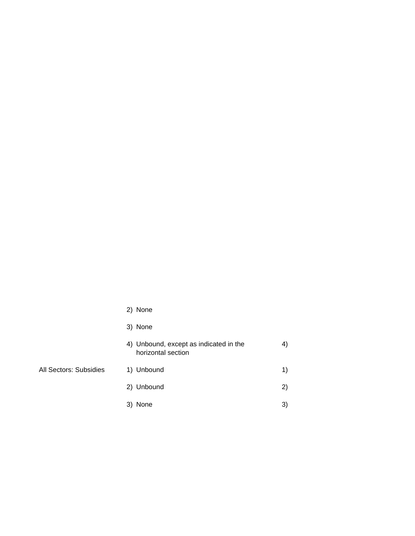|                        | 2) None                                                      |    |
|------------------------|--------------------------------------------------------------|----|
|                        | 3) None                                                      |    |
|                        | 4) Unbound, except as indicated in the<br>horizontal section | 4) |
| All Sectors: Subsidies | 1) Unbound                                                   | 1) |
|                        | 2) Unbound                                                   | 2) |
|                        | 3) None                                                      | 3) |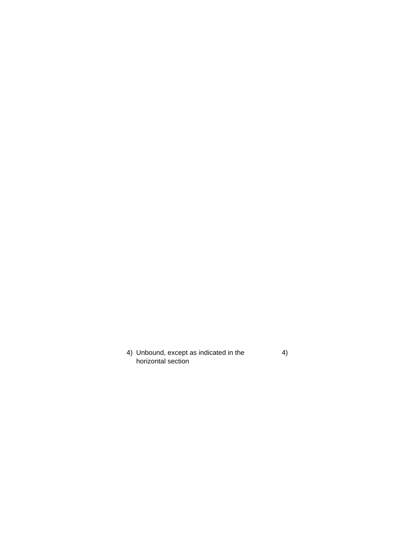4) Unbound, except as indicated in the 4) horizontal section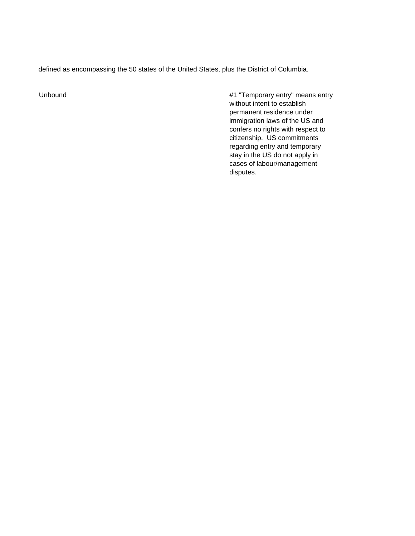defined as encompassing the 50 states of the United States, plus the District of Columbia.

Unbound **All Unbound 2008** Unbound 2012 12:30 MHz 2012 12:30 MHz 2012 12:30 MHz 2012 12:30 MHz 2012 12:30 MHz 20 without intent to establish permanent residence under immigration laws of the US and confers no rights with respect to citizenship. US commitments regarding entry and temporary stay in the US do not apply in cases of labour/management disputes.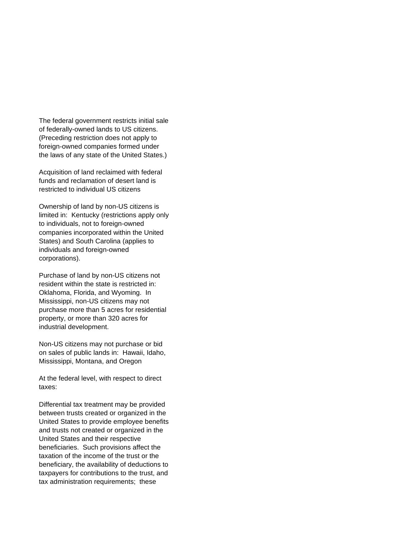The federal government restricts initial sale of federally-owned lands to US citizens. (Preceding restriction does not apply to foreign-owned companies formed under the laws of any state of the United States.)

Acquisition of land reclaimed with federal funds and reclamation of desert land is restricted to individual US citizens

Ownership of land by non-US citizens is limited in: Kentucky (restrictions apply only to individuals, not to foreign-owned companies incorporated within the United States) and South Carolina (applies to individuals and foreign-owned corporations).

Purchase of land by non-US citizens not resident within the state is restricted in: Oklahoma, Florida, and Wyoming. In Mississippi, non-US citizens may not purchase more than 5 acres for residential property, or more than 320 acres for industrial development.

Non-US citizens may not purchase or bid on sales of public lands in: Hawaii, Idaho, Mississippi, Montana, and Oregon

At the federal level, with respect to direct taxes:

Differential tax treatment may be provided between trusts created or organized in the United States to provide employee benefits and trusts not created or organized in the United States and their respective beneficiaries. Such provisions affect the taxation of the income of the trust or the beneficiary, the availability of deductions to taxpayers for contributions to the trust, and tax administration requirements; these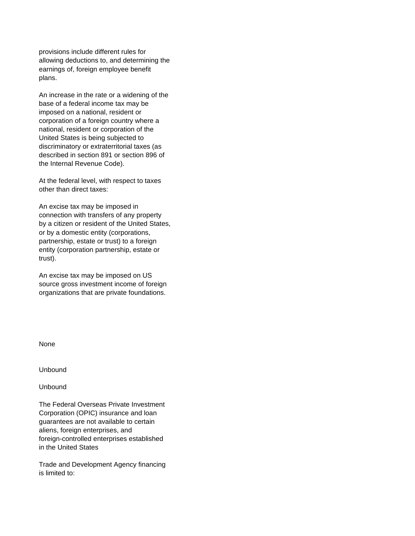provisions include different rules for allowing deductions to, and determining the earnings of, foreign employee benefit plans.

An increase in the rate or a widening of the base of a federal income tax may be imposed on a national, resident or corporation of a foreign country where a national, resident or corporation of the United States is being subjected to discriminatory or extraterritorial taxes (as described in section 891 or section 896 of the Internal Revenue Code).

At the federal level, with respect to taxes other than direct taxes:

An excise tax may be imposed in connection with transfers of any property by a citizen or resident of the United States, or by a domestic entity (corporations, partnership, estate or trust) to a foreign entity (corporation partnership, estate or trust).

An excise tax may be imposed on US source gross investment income of foreign organizations that are private foundations.

None

Unbound

Unbound

The Federal Overseas Private Investment Corporation (OPIC) insurance and loan guarantees are not available to certain aliens, foreign enterprises, and foreign-controlled enterprises established in the United States

Trade and Development Agency financing is limited to: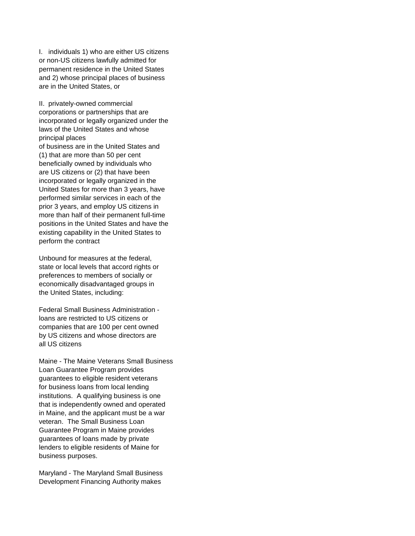I. individuals 1) who are either US citizens or non-US citizens lawfully admitted for permanent residence in the United States and 2) whose principal places of business are in the United States, or

II. privately-owned commercial corporations or partnerships that are incorporated or legally organized under the laws of the United States and whose principal places of business are in the United States and (1) that are more than 50 per cent beneficially owned by individuals who are US citizens or (2) that have been incorporated or legally organized in the United States for more than 3 years, have performed similar services in each of the prior 3 years, and employ US citizens in more than half of their permanent full-time positions in the United States and have the existing capability in the United States to perform the contract

Unbound for measures at the federal, state or local levels that accord rights or preferences to members of socially or economically disadvantaged groups in the United States, including:

Federal Small Business Administration loans are restricted to US citizens or companies that are 100 per cent owned by US citizens and whose directors are all US citizens

Maine - The Maine Veterans Small Business Loan Guarantee Program provides guarantees to eligible resident veterans for business loans from local lending institutions. A qualifying business is one that is independently owned and operated in Maine, and the applicant must be a war veteran. The Small Business Loan Guarantee Program in Maine provides guarantees of loans made by private lenders to eligible residents of Maine for business purposes.

Maryland - The Maryland Small Business Development Financing Authority makes